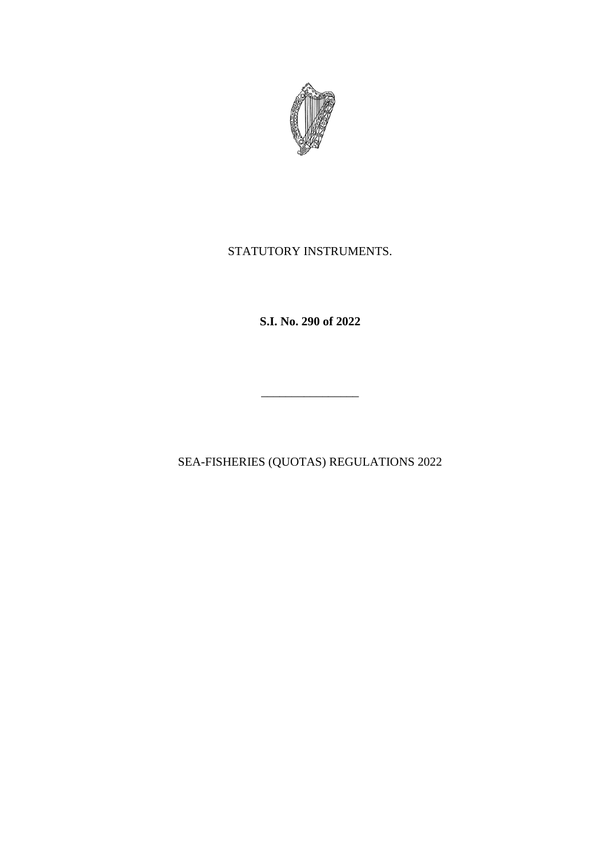

# STATUTORY INSTRUMENTS.

**S.I. No. 290 of 2022**

SEA-FISHERIES (QUOTAS) REGULATIONS 2022

\_\_\_\_\_\_\_\_\_\_\_\_\_\_\_\_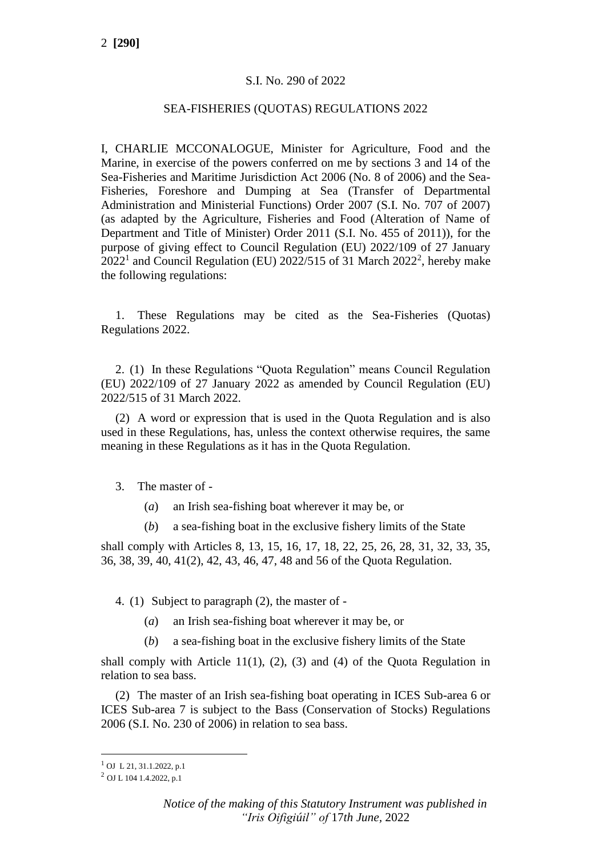## S.I. No. 290 of 2022

#### SEA-FISHERIES (QUOTAS) REGULATIONS 2022

I, CHARLIE MCCONALOGUE, Minister for Agriculture, Food and the Marine, in exercise of the powers conferred on me by sections 3 and 14 of the Sea-Fisheries and Maritime Jurisdiction Act 2006 (No. 8 of 2006) and the Sea-Fisheries, Foreshore and Dumping at Sea (Transfer of Departmental Administration and Ministerial Functions) Order 2007 (S.I. No. 707 of 2007) (as adapted by the Agriculture, Fisheries and Food (Alteration of Name of Department and Title of Minister) Order 2011 (S.I. No. 455 of 2011)), for the purpose of giving effect to Council Regulation (EU) 2022/109 of 27 January  $2022<sup>1</sup>$  and Council Regulation (EU)  $2022/515$  of 31 March  $2022<sup>2</sup>$ , hereby make the following regulations:

1. These Regulations may be cited as the Sea-Fisheries (Quotas) Regulations 2022.

2. (1) In these Regulations "Quota Regulation" means Council Regulation (EU) 2022/109 of 27 January 2022 as amended by Council Regulation (EU) 2022/515 of 31 March 2022.

(2) A word or expression that is used in the Quota Regulation and is also used in these Regulations, has, unless the context otherwise requires, the same meaning in these Regulations as it has in the Quota Regulation.

- 3. The master of
	- (*a*) an Irish sea-fishing boat wherever it may be, or
	- (*b*) a sea-fishing boat in the exclusive fishery limits of the State

shall comply with Articles 8, 13, 15, 16, 17, 18, 22, 25, 26, 28, 31, 32, 33, 35, 36, 38, 39, 40, 41(2), 42, 43, 46, 47, 48 and 56 of the Quota Regulation.

4. (1) Subject to paragraph (2), the master of -

- (*a*) an Irish sea-fishing boat wherever it may be, or
- (*b*) a sea-fishing boat in the exclusive fishery limits of the State

shall comply with Article 11(1),  $(2)$ ,  $(3)$  and  $(4)$  of the Quota Regulation in relation to sea bass.

(2) The master of an Irish sea-fishing boat operating in ICES Sub-area 6 or ICES Sub-area 7 is subject to the Bass (Conservation of Stocks) Regulations 2006 (S.I. No. 230 of 2006) in relation to sea bass.

<sup>1</sup> OJ L 21, 31.1.2022, p.1

 $^{2}$  OJ L 104 1.4.2022, p.1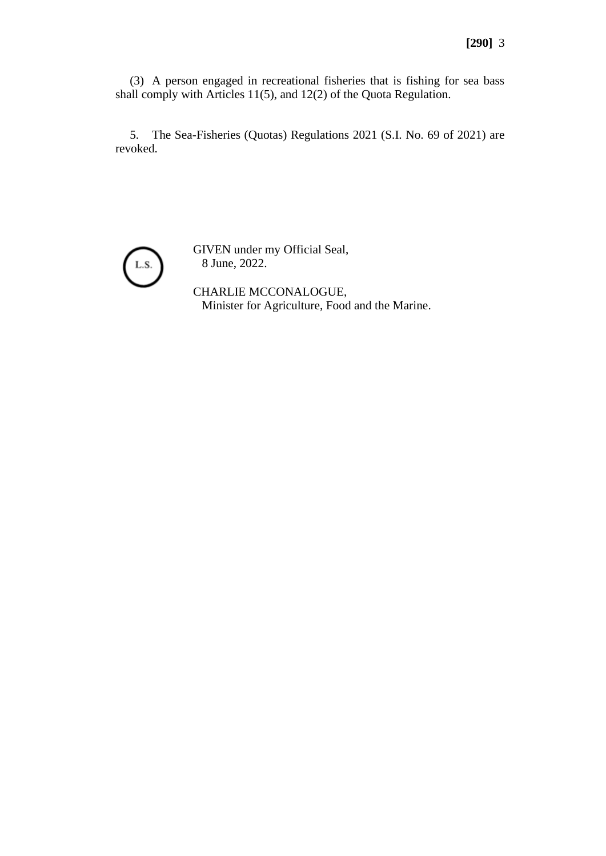(3) A person engaged in recreational fisheries that is fishing for sea bass shall comply with Articles 11(5), and 12(2) of the Quota Regulation.

5. The Sea-Fisheries (Quotas) Regulations 2021 (S.I. No. 69 of 2021) are revoked.



GIVEN under my Official Seal, 8 June, 2022.

CHARLIE MCCONALOGUE, Minister for Agriculture, Food and the Marine.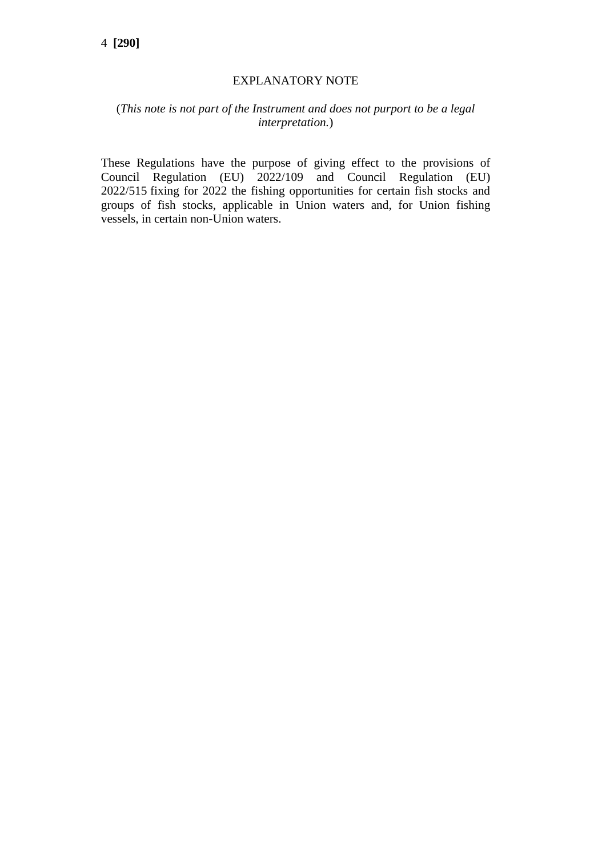## EXPLANATORY NOTE

# (*This note is not part of the Instrument and does not purport to be a legal interpretation.*)

These Regulations have the purpose of giving effect to the provisions of Council Regulation (EU) 2022/109 and Council Regulation (EU) 2022/515 fixing for 2022 the fishing opportunities for certain fish stocks and groups of fish stocks, applicable in Union waters and, for Union fishing vessels, in certain non-Union waters.